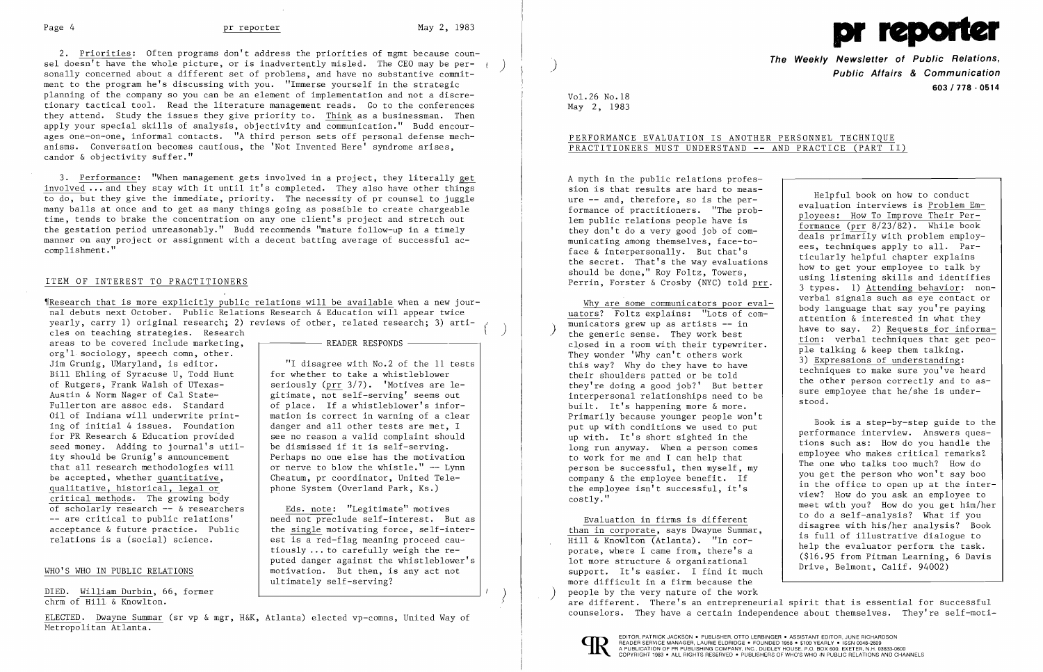

2. Priorities: Often programs don't address the priorities of mgmt because counsel doesn't have the whole picture, or is inadvertently misled. The CEO may be per- () sonally concerned about a different set of problems, and have no substantive commitment to the program he's discussing with you. "Immerse yourself in the strategic planning of the company so you can be an element of implementation and not a discretionary tactical tool. Read the literature management reads. Go to the conferences they attend. Study the issues they give priority to. Think as a businessman. Then apply your special skills of analysis, objectivity and communication." Budd encourages one-on-one, informal contacts. "A third person sets off personal defense mechanisms. Conversation becomes cautious, the 'Not Invented Here' syndrome arises, candor & objectivity suffer."

~IResearch that is more explicitly public relations will be available when a new journal debuts next October. Public Relations Research & Education will appear twice yearly, carry 1) original research; 2) reviews of other, related research; 3) articles on teaching strategies. Research .<br>م  $($  )

areas to be covered include marketing,  $\Box$  READER RESPONDS org'l sociology, speech comn, other.<br>Jim Grunig, UMaryland, is editor. Bill Ehling of Syracuse U, Todd Hunt  $\parallel$  for whether to take a whistleblower of Rutgers, Frank Walsh of UTexas-  $\vert$  seriously (prr 3/7). 'Motives are le-Austin & Norm Nager of Cal State- gitimate, not self-serving' seems out Fullerton are assoc eds. Standard | of place. If a whistleblower's infor-<br>Oil of Indiana will underwrite print- | mation is correct in warning of a clea ing of initial 4 issues. Foundation | danger and all other tests are met, I<br>for PR Research & Education provided | see no reason a valid complaint should seed money. Adding to journal's util- be dismissed if it is self-serving.<br>ity should be Grunig's announcement Perhaps no one else has the motivat: ity should be Grunig's announcement | Perhaps no one else has the motivation<br>that all research methodologies will | or nerve to blow the whistle." -- Lynn be accepted, whether <u>quantitative</u>,<br>
qualitative, historical, legal or<br>
phone System (Overland Park, Ks.) qualitative, historical,  $leq$ al or critical methods. The growing body of scholarly research -- & researchers <br>
-- are critical to public relations' leved not preclude self-interest. But

3. Performance: "When management gets involved in a project, they literally involved **...** and they stay with it until it's completed. They also have other things to do, but they give the immediate, priority. The necessity of pr counsel to juggle many balls at once and to get as many things going as possible to create chargeable time, tends to brake the concentration on anyone client's project and stretch out the gestation period unreasonably." Budd recommends "mature follow-up in a timely manner on any project or assignment with a decent batting average of successful accomplishment. "

## ITEM OF INTEREST TO PRACTITIONERS

need not preclude self-interest. But as acceptance & future practice. Public  $\begin{array}{c}$  the <u>single</u> motivating force, self-inter-<br>relations is a (social) science.  $\begin{array}{c} \hline \end{array}$  est is a red-flag meaning proceed cauest is a red-flag meaning proceed cautiously ... to carefully weigh the reputed danger against the whistleblower's WHO'S WHO IN PUBLIC RELATIONS | motivation. But then, is any act not ultimately self-serving?

A myth in the public relations profession is that results are hard to meas-<br>ure -- and, therefore, so is the per-<br> ure -- and, therefore, so is the per-<br>formance of practitioners. "The prob-<br>lem public relations people have is<br>they don't do a very good job of com-<br>municating among themselves, face-to-<br>municating among themselves, face-

sure employee that he/she is under-<br>interpersonal relationships need to be<br>built. It's happening more & more.<br>Primarily because younger people won't Primarily because younger people won't<br>
put up with conditions we used to put<br>
up with. It's short sighted in the<br>
long run anyway. When a person comes<br>
to work for me and I can help that<br>
to work for me and I can help tha person be successful, then myself, my company & the employee benefit. If the employee isn't successful, it's  $\begin{array}{|l|l|} \hline \text{in the office to open up at the inter-}\text{costly."} \end{array}$ 

The one who talks too much? How do you get the person who won't say boo meet with you? How do you get him/her

Evaluation in firms is different<br>
than in corporate, says Dwayne Summar,<br>
Hill & Knowlton (Atlanta). "In cor-<br>
porate, where I came from, there's a<br>
lot more structure & organizational<br>
support. It's easier. I find it much support. It's easier. I find it much<br>more difficult in a firm because the people by the very nature of the work are different. There's an entrepreneurial spirit that is essential for successful counselors. They have a certain independence about themselves. They're self-moti



 $\sum_{i=1}^n$ 

DIED. William Durbin, 66, former chrm of Hill & Knowlton.

ELECTED. Dwayne Summar (sr vp & mgr, H&K, Atlanta) elected vp-comns, United Way of Metropolitan Atlanta.

**The Weekly Newsletter of Public Relations,** ) **Public Affairs & Communication 603/778 - 0514** 

municating among themselves, tace-to-<br>
face & interpersonally. But that's<br>
the secret. That's the way evaluations<br>
should be done," Roy Foltz, Towers,<br>
Perrin, Forster & Crosby (NYC) told <u>prr</u>.<br>  $\begin{array}{ccc}\n & \text{if } 1.2 \text{ m} \\
 &$ Why are some communicators poor eval-<br>
uators? Foltz explains: "Lots of com-<br>
the generic sense. They work best<br>
closed in a room with their typewriter.<br>
They wonder 'Why can't others work<br>
this way? Why do they have to ha

Vol. 26 No.18 May 2, 1983

# PERFORMANCE EVALUATION IS ANOTHER PERSONNEL TECHNIQUE PRACTITIONERS MUST UNDERSTAND **--** AND PRACTICE (PART II)

EDITOR, PATRICK JACKSON. PUBLISHER, OTTO LERBINGER • ASSISTANT EDITOR, JUNE RICHARDSON

"I disagree with No.2 of the 11 tests mation is correct in warning of a clear see no reason a valid complaint should or nerve to blow the whistle." -- Lynn